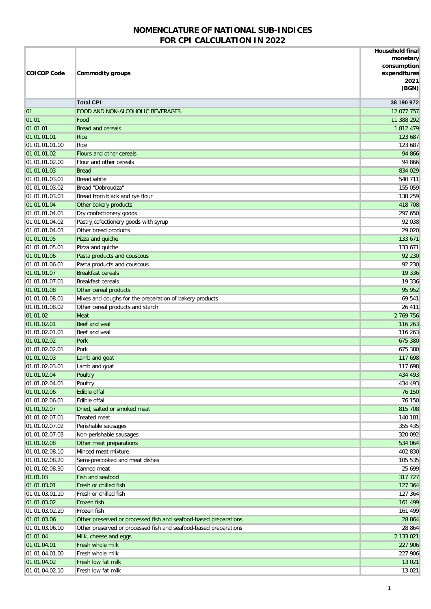## **NOMENCLATURE OF NATIONAL SUB-INDICES FOR CPI CALCULATION IN 2022**

| <b>COICOP Code</b>               | <b>Commodity groups</b>                                          | <b>Household final</b><br>monetary<br>consumption<br>expenditures<br>2021<br>(BGN) |
|----------------------------------|------------------------------------------------------------------|------------------------------------------------------------------------------------|
|                                  | <b>Total CPI</b>                                                 | 38 190 972                                                                         |
| 01                               | <b>FOOD AND NON-ALCOHOLIC BEVERAGES</b>                          | 12 077 757                                                                         |
| 01.01                            | Food                                                             | 11 388 292                                                                         |
| 01.01.01                         | <b>Bread and cereals</b>                                         | 1 812 479                                                                          |
| 01.01.01.01                      | <b>Rice</b>                                                      | 123 687                                                                            |
| 01.01.01.01.00                   | Rice                                                             | 123 687                                                                            |
| 01.01.01.02                      | Flours and other cereals                                         | 94 866                                                                             |
| 01.01.01.02.00                   | Flour and other cereals                                          | 94 866                                                                             |
| 01.01.01.03                      | <b>Bread</b>                                                     | 834 029                                                                            |
| 01.01.01.03.01                   | <b>Bread white</b>                                               | 540 711                                                                            |
| 01.01.01.03.02                   | Bread "Dobroudza"                                                | 155 059                                                                            |
| 01.01.01.03.03                   | Bread from black and rye flour                                   | 138 259                                                                            |
| 01.01.01.04                      | Other bakery products                                            | 418 708                                                                            |
| 01.01.01.04.01                   | Dry confectionery goods                                          | 297 650                                                                            |
| 01.01.01.04.02                   | Pastry, cofectionery goods with syrup                            | 92 038                                                                             |
| 01.01.01.04.03                   | Other bread products                                             | 29 0 20                                                                            |
| 01.01.01.05                      | Pizza and quiche                                                 | 133 671                                                                            |
| 01.01.01.05.01                   | Pizza and quiche                                                 | 133 671                                                                            |
| 01.01.01.06                      | Pasta products and couscous                                      | 92 230                                                                             |
| 01.01.01.06.01                   | Pasta products and couscous<br><b>Breakfast cereals</b>          | 92 230                                                                             |
| 01.01.01.07<br>01.01.01.07.01    | <b>Breakfast cereals</b>                                         | 19 336<br>19 336                                                                   |
| 01.01.01.08                      | Other cereal products                                            | 95 952                                                                             |
| 01.01.01.08.01                   | Mixes and doughs for the preparation of bakery products          | 69 541                                                                             |
| 01.01.01.08.02                   | Other cereal products and starch                                 | 26 411                                                                             |
| 01.01.02                         | Meat                                                             | 2 769 756                                                                          |
| 01.01.02.01                      | Beef and yeal                                                    | 116 263                                                                            |
| 01.01.02.01.01                   | Beef and veal                                                    | 116 263                                                                            |
| 01.01.02.02                      | Pork                                                             | 675 380                                                                            |
| 01.01.02.02.01                   | Pork                                                             | 675 380                                                                            |
| 01.01.02.03                      | Lamb and goat                                                    | 117 698                                                                            |
| 01.01.02.03.01                   | Lamb and goat                                                    | 117 698                                                                            |
| 01.01.02.04                      | Poultry                                                          | 434 493                                                                            |
| 01.01.02.04.01                   | Poultry                                                          | 434 493                                                                            |
| 01.01.02.06                      | <b>Edible offal</b>                                              | 76 150                                                                             |
| 01.01.02.06.01                   | Edible offal                                                     | 76 150                                                                             |
| 01.01.02.07                      | Dried, salted or smoked meat                                     | 815 708                                                                            |
| 01.01.02.07.01                   | Treated meat                                                     | 140 181                                                                            |
| 01.01.02.07.02                   | Perishable sausages                                              | 355 435                                                                            |
| 01.01.02.07.03                   | Non-perishable sausages                                          | 320 092                                                                            |
| 01.01.02.08                      | Other meat preparations<br>Minced meat mixture                   | 534 064                                                                            |
| 01.01.02.08.10<br>01.01.02.08.20 | Semi-precooked and meat dishes                                   | 402 830<br>105 535                                                                 |
| 01.01.02.08.30                   | Canned meat                                                      | 25 6 9 9                                                                           |
| 01.01.03                         | Fish and seafood                                                 | 317 727                                                                            |
| 01.01.03.01                      | Fresh or chilled fish                                            | 127 364                                                                            |
| 01.01.03.01.10                   | Fresh or chilled fish                                            | 127 364                                                                            |
| 01.01.03.02                      | Frozen fish                                                      | 161 499                                                                            |
| 01.01.03.02.20                   | Frozen fish                                                      | 161 499                                                                            |
| 01.01.03.06                      | Other preserved or processed fish and seafood-based preparations | 28 864                                                                             |
| 01.01.03.06.00                   | Other preserved or processed fish and seafood-based preparations | 28 864                                                                             |
| 01.01.04                         | Milk, cheese and eggs                                            | 2 133 021                                                                          |
| 01.01.04.01                      | Fresh whole milk                                                 | 227 906                                                                            |
| 01.01.04.01.00                   | Fresh whole milk                                                 | 227 906                                                                            |
| 01.01.04.02                      | Fresh low fat milk                                               | 13 0 21                                                                            |
| 01.01.04.02.10                   | Fresh low fat milk                                               | 13 0 21                                                                            |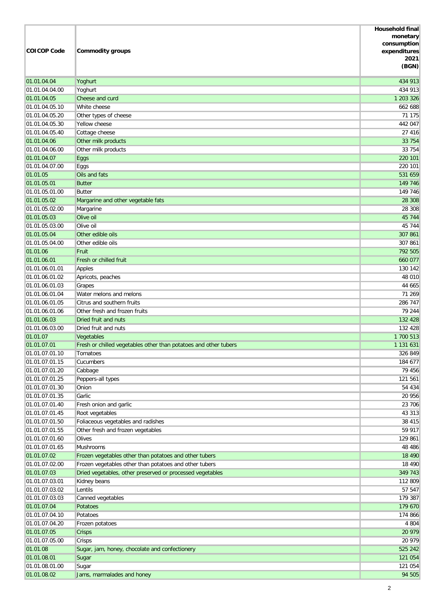| <b>COICOP Code</b>               | <b>Commodity groups</b>                                          | <b>Household final</b><br>monetary<br>consumption<br>expenditures<br>2021<br>(BGN) |
|----------------------------------|------------------------------------------------------------------|------------------------------------------------------------------------------------|
| 01.01.04.04                      | Yoghurt                                                          | 434 913                                                                            |
| 01.01.04.04.00                   | Yoghurt                                                          | 434 913                                                                            |
| 01.01.04.05                      | Cheese and curd                                                  | 1 203 326                                                                          |
| 01.01.04.05.10                   | White cheese                                                     | 662 688                                                                            |
| 01.01.04.05.20                   | Other types of cheese                                            | 71 175                                                                             |
| 01.01.04.05.30                   | Yellow cheese                                                    | 442 047                                                                            |
| 01.01.04.05.40                   | Cottage cheese                                                   | 27 416                                                                             |
| 01.01.04.06                      | Other milk products                                              | 33 754                                                                             |
| 01.01.04.06.00<br>01.01.04.07    | Other milk products                                              | 33 754<br>220 101                                                                  |
| 01.01.04.07.00                   | <b>Eggs</b><br>Eggs                                              | 220 101                                                                            |
| 01.01.05                         | Oils and fats                                                    | 531 659                                                                            |
| 01.01.05.01                      | <b>Butter</b>                                                    | 149 746                                                                            |
| 01.01.05.01.00                   | <b>Butter</b>                                                    | 149 746                                                                            |
| 01.01.05.02                      | Margarine and other vegetable fats                               | 28 30 8                                                                            |
| 01.01.05.02.00                   | Margarine                                                        | 28 30 8                                                                            |
| 01.01.05.03                      | Olive oil                                                        | 45 744                                                                             |
| 01.01.05.03.00                   | Olive oil                                                        | 45 744                                                                             |
| 01.01.05.04                      | Other edible oils                                                | 307 861                                                                            |
| 01.01.05.04.00                   | Other edible oils                                                | 307 861                                                                            |
| 01.01.06                         | Fruit                                                            | 792 505                                                                            |
| 01.01.06.01                      | Fresh or chilled fruit                                           | 660 077                                                                            |
| 01.01.06.01.01                   | Apples                                                           | 130 142                                                                            |
| 01.01.06.01.02                   | Apricots, peaches                                                | 48 010                                                                             |
| 01.01.06.01.03                   | Grapes                                                           | 44 665                                                                             |
| 01.01.06.01.04<br>01.01.06.01.05 | Water melons and melons<br>Citrus and southern fruits            | 71 269<br>286 747                                                                  |
| 01.01.06.01.06                   | Other fresh and frozen fruits                                    | 79 244                                                                             |
| 01.01.06.03                      | Dried fruit and nuts                                             | 132 428                                                                            |
| 01.01.06.03.00                   | Dried fruit and nuts                                             | 132 428                                                                            |
| 01.01.07                         | Vegetables                                                       | 1 700 513                                                                          |
| 01.01.07.01                      | Fresh or chilled vegetables other than potatoes and other tubers | 1 131 631                                                                          |
| 01.01.07.01.10                   | Tomatoes                                                         | 326 849                                                                            |
| 01.01.07.01.15                   | Cucumbers                                                        | 184 677                                                                            |
| 01.01.07.01.20                   | Cabbage                                                          | 79 456                                                                             |
| 01.01.07.01.25                   | Peppers-all types                                                | 121 561                                                                            |
| 01.01.07.01.30                   | Onion                                                            | 54 434                                                                             |
| 01.01.07.01.35                   | Garlic                                                           | 20 956                                                                             |
| 01.01.07.01.40                   | Fresh onion and garlic                                           | 23 706                                                                             |
| 01.01.07.01.45                   | Root vegetables                                                  | 43 313                                                                             |
| 01.01.07.01.50                   | Foliaceous vegetables and radishes                               | 38 415                                                                             |
| 01.01.07.01.55<br>01.01.07.01.60 | Other fresh and frozen vegetables<br>Olives                      | 59 917<br>129 861                                                                  |
| 01.01.07.01.65                   | Mushrooms                                                        | 48 4 8 6                                                                           |
| 01.01.07.02                      | Frozen vegetables other than potatoes and other tubers           | 18 4 9 0                                                                           |
| 01.01.07.02.00                   | Frozen vegetables other than potatoes and other tubers           | 18 490                                                                             |
| 01.01.07.03                      | Dried vegetables, other preserved or processed vegetables        | 349 743                                                                            |
| 01.01.07.03.01                   | Kidney beans                                                     | 112 809                                                                            |
| 01.01.07.03.02                   | Lentils                                                          | 57 547                                                                             |
| 01.01.07.03.03                   | Canned vegetables                                                | 179 387                                                                            |
| 01.01.07.04                      | Potatoes                                                         | 179 670                                                                            |
| 01.01.07.04.10                   | Potatoes                                                         | 174 866                                                                            |
| 01.01.07.04.20                   | Frozen potatoes                                                  | 4 8 0 4                                                                            |
| 01.01.07.05                      | <b>Crisps</b>                                                    | 20 979                                                                             |
| 01.01.07.05.00                   | Crisps                                                           | 20 979                                                                             |
| 01.01.08                         | Sugar, jam, honey, chocolate and confectionery                   | 525 242                                                                            |
| 01.01.08.01                      | Sugar                                                            | 121 054                                                                            |
| 01.01.08.01.00<br>01.01.08.02    | Sugar<br>Jams, marmalades and honey                              | 121 054<br>94 505                                                                  |
|                                  |                                                                  |                                                                                    |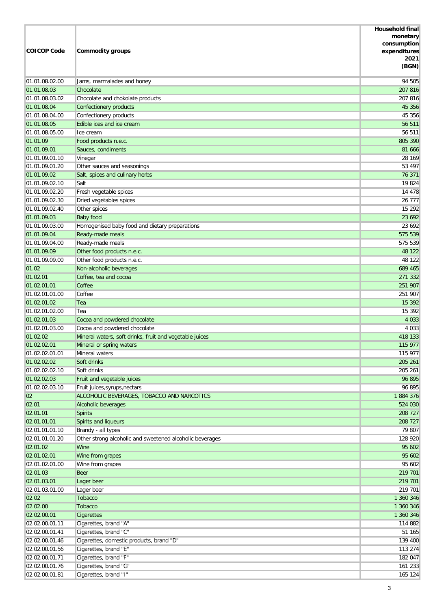| <b>COICOP Code</b>            | <b>Commodity groups</b>                                  | <b>Household final</b><br>monetary<br>consumption<br>expenditures<br>2021<br>(BGN) |
|-------------------------------|----------------------------------------------------------|------------------------------------------------------------------------------------|
| 01.01.08.02.00                | Jams, marmalades and honey                               | 94 505                                                                             |
| 01.01.08.03                   | Chocolate                                                | 207 816                                                                            |
| 01.01.08.03.02                | Chocolate and chokolate products                         | 207 816                                                                            |
| 01.01.08.04                   | Confectionery products                                   | 45 356                                                                             |
| 01.01.08.04.00                | Confectionery products                                   | 45 356                                                                             |
| 01.01.08.05                   | Edible ices and ice cream                                | 56 511                                                                             |
| 01.01.08.05.00                | Ice cream                                                | 56 511                                                                             |
| 01.01.09                      | Food products n.e.c.                                     | 805 390                                                                            |
| 01.01.09.01                   | Sauces, condiments                                       | 81 666                                                                             |
| 01.01.09.01.10                | Vinegar                                                  | 28 169                                                                             |
| 01.01.09.01.20                | Other sauces and seasonings                              | 53 497                                                                             |
| 01.01.09.02                   | Salt, spices and culinary herbs                          | 76 371                                                                             |
| 01.01.09.02.10                | Salt                                                     | 19 824                                                                             |
| 01.01.09.02.20                | Fresh vegetable spices                                   | 14 478                                                                             |
| 01.01.09.02.30                | Dried vegetables spices                                  | 26 777                                                                             |
| 01.01.09.02.40                | Other spices                                             | 15 29 2                                                                            |
| 01.01.09.03                   | <b>Baby food</b>                                         | 23 6 9 2                                                                           |
| 01.01.09.03.00                | Homogenised baby food and dietary preparations           | 23 692                                                                             |
| 01.01.09.04<br>01.01.09.04.00 | Ready-made meals                                         | 575 539<br>575 539                                                                 |
| 01.01.09.09                   | Ready-made meals                                         | 48 122                                                                             |
| 01.01.09.09.00                | Other food products n.e.c.<br>Other food products n.e.c. | 48 122                                                                             |
| 01.02                         | Non-alcoholic beverages                                  | 689 465                                                                            |
| 01.02.01                      | Coffee, tea and cocoa                                    | 271 332                                                                            |
| 01.02.01.01                   | Coffee                                                   | 251 907                                                                            |
| 01.02.01.01.00                | Coffee                                                   | 251 907                                                                            |
| 01.02.01.02                   | Tea                                                      | 15 3 9 2                                                                           |
| 01.02.01.02.00                | Tea                                                      | 15 392                                                                             |
| 01.02.01.03                   | Cocoa and powdered chocolate                             | 4 0 3 3                                                                            |
| 01.02.01.03.00                | Cocoa and powdered chocolate                             | 4 0 3 3                                                                            |
| 01.02.02                      | Mineral waters, soft drinks, fruit and vegetable juices  | 418 133                                                                            |
| 01.02.02.01                   | Mineral or spring waters                                 | 115 977                                                                            |
| 01.02.02.01.01                | Mineral waters                                           | 115 977                                                                            |
| 01.02.02.02                   | Soft drinks                                              | 205 261                                                                            |
| 01.02.02.02.10                | Soft drinks                                              | 205 261                                                                            |
| 01.02.02.03                   | Fruit and vegetable juices                               | 96 895                                                                             |
| 01.02.02.03.10                | Fruit juices, syrups, nectars                            | 96 895                                                                             |
| 02                            | ALCOHOLIC BEVERAGES, TOBACCO AND NARCOTICS               | 1884 376                                                                           |
| 02.01                         | Alcoholic beverages                                      | 524 030                                                                            |
| 02.01.01                      | <b>Spirits</b>                                           | 208 727                                                                            |
| 02.01.01.01                   | Spirits and liqueurs                                     | 208 727                                                                            |
| 02.01.01.01.10                | Brandy - all types                                       | 79 807                                                                             |
| 02.01.01.01.20                | Other strong alcoholic and sweetened alcoholic beverages | 128 920                                                                            |
| 02.01.02                      | Wine                                                     | 95 602                                                                             |
| 02.01.02.01                   | Wine from grapes                                         | 95 602                                                                             |
| 02.01.02.01.00                | Wine from grapes                                         | 95 602                                                                             |
| 02.01.03                      | <b>Beer</b>                                              | 219 701                                                                            |
| 02.01.03.01                   | Lager beer                                               | 219 701                                                                            |
| 02.01.03.01.00<br>02.02       | Lager beer<br><b>Tobacco</b>                             | 219 701<br>1 360 346                                                               |
| 02.02.00                      | <b>Tobacco</b>                                           | 1 360 346                                                                          |
| 02.02.00.01                   | <b>Cigarettes</b>                                        | 1 360 346                                                                          |
| 02.02.00.01.11                | Cigarettes, brand "A"                                    | 114 882                                                                            |
| 02.02.00.01.41                | Cigarettes, brand "C"                                    | 51 165                                                                             |
| 02.02.00.01.46                | Cigarettes, domestic products, brand "D"                 | 139 400                                                                            |
| 02.02.00.01.56                | Cigarettes, brand "E"                                    | 113 274                                                                            |
| 02.02.00.01.71                | Cigarettes, brand "F"                                    | 182 047                                                                            |
| 02.02.00.01.76                | Cigarettes, brand "G"                                    | 161 233                                                                            |
| 02.02.00.01.81                | Cigarettes, brand "I"                                    | 165 124                                                                            |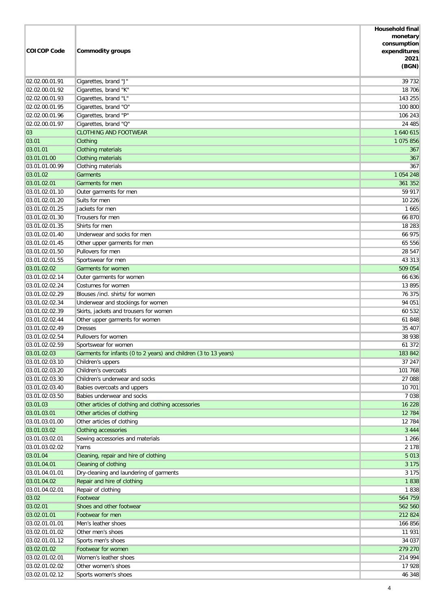|                    |                                                                  | <b>Household final</b>  |
|--------------------|------------------------------------------------------------------|-------------------------|
|                    |                                                                  | monetary<br>consumption |
| <b>COICOP Code</b> | <b>Commodity groups</b>                                          | expenditures            |
|                    |                                                                  | 2021                    |
|                    |                                                                  | (BGN)                   |
| 02.02.00.01.91     | Cigarettes, brand "J"                                            | 39 732                  |
| 02.02.00.01.92     | Cigarettes, brand "K"                                            | 18 706                  |
| 02.02.00.01.93     | Cigarettes, brand "L"                                            | 143 255                 |
| 02.02.00.01.95     | Cigarettes, brand "O"                                            | 100 800                 |
| 02.02.00.01.96     | Cigarettes, brand "P"                                            | 106 243                 |
| 02.02.00.01.97     | Cigarettes, brand "Q"                                            | 24 485                  |
| 03                 | <b>CLOTHING AND FOOTWEAR</b>                                     | 1 640 615               |
| 03.01              | Clothing                                                         | 1 075 856               |
| 03.01.01           | Clothing materials                                               | 367                     |
| 03.01.01.00        | Clothing materials                                               | 367                     |
| 03.01.01.00.99     | Clothing materials                                               | 367                     |
| 03.01.02           | <b>Garments</b>                                                  | 1 0 54 2 48             |
| 03.01.02.01        | Garments for men                                                 | 361 352                 |
| 03.01.02.01.10     | Outer garments for men                                           | 59 917                  |
| 03.01.02.01.20     | Suits for men                                                    | 10 226                  |
| 03.01.02.01.25     | Jackets for men                                                  | 1 6 6 5                 |
| 03.01.02.01.30     | Trousers for men                                                 | 66 870                  |
| 03.01.02.01.35     | Shirts for men                                                   | 18 283                  |
| 03.01.02.01.40     | Underwear and socks for men                                      | 66 975                  |
| 03.01.02.01.45     | Other upper garments for men                                     | 65 556                  |
| 03.01.02.01.50     | Pullovers for men                                                | 28 547                  |
| 03.01.02.01.55     | Sportswear for men                                               | 43 313                  |
| 03.01.02.02        | Garments for women                                               | 509 054                 |
| 03.01.02.02.14     | Outer garments for women                                         | 66 636                  |
| 03.01.02.02.24     | Costumes for women                                               | 13 895                  |
| 03.01.02.02.29     | Blouses /incl. shirts/ for women                                 | 76 375                  |
| 03.01.02.02.34     | Underwear and stockings for women                                | 94 051                  |
| 03.01.02.02.39     | Skirts, jackets and trousers for women                           | 60 532                  |
| 03.01.02.02.44     | Other upper garments for women                                   | 61 848                  |
| 03.01.02.02.49     | <b>Dresses</b>                                                   | 35 407                  |
| 03.01.02.02.54     | Pullovers for women                                              | 38 938                  |
| 03.01.02.02.59     | Sportswear for women                                             | 61 372                  |
| 03.01.02.03        | Garments for infants (0 to 2 years) and children (3 to 13 years) | 183 842                 |
| 03.01.02.03.10     | Children's uppers                                                | 37 247                  |
| 03.01.02.03.20     | Children's overcoats                                             | 101 768                 |
| 03.01.02.03.30     | Children's underwear and socks                                   | 27 088                  |
| 03.01.02.03.40     | Babies overcoats and uppers                                      | 10 701                  |
| 03.01.02.03.50     | Babies underwear and socks                                       | 7 0 38                  |
| 03.01.03           | Other articles of clothing and clothing accessories              | 16 228                  |
| 03.01.03.01        | Other articles of clothing                                       | 12 784                  |
| 03.01.03.01.00     | Other articles of clothing                                       | 12 784                  |
| 03.01.03.02        | Clothing accessories                                             | 3 4 4 4                 |
| 03.01.03.02.01     | Sewing accessories and materials                                 | 1 2 6 6                 |
| 03.01.03.02.02     | Yarns                                                            | 2 1 7 8                 |
| 03.01.04           | Cleaning, repair and hire of clothing                            | 5 0 1 3                 |
| 03.01.04.01        | Cleaning of clothing                                             | 3 1 7 5                 |
| 03.01.04.01.01     | Dry-cleaning and laundering of garments                          | 3 1 7 5                 |
| 03.01.04.02        | Repair and hire of clothing                                      | 1838                    |
| 03.01.04.02.01     | Repair of clothing                                               | 1838                    |
| 03.02              | Footwear                                                         | 564 759                 |
| 03.02.01           | Shoes and other footwear                                         | 562 560                 |
| 03.02.01.01        | Footwear for men                                                 | 212 824                 |
| 03.02.01.01.01     | Men's leather shoes                                              | 166 856                 |
| 03.02.01.01.02     | Other men's shoes                                                | 11 931                  |
| 03.02.01.01.12     | Sports men's shoes                                               | 34 037                  |
| 03.02.01.02        | Footwear for women                                               | 279 270                 |
| 03.02.01.02.01     | Women's leather shoes                                            | 214 994                 |
| 03.02.01.02.02     | Other women's shoes                                              | 17 928                  |
| 03.02.01.02.12     | Sports women's shoes                                             | 46 348                  |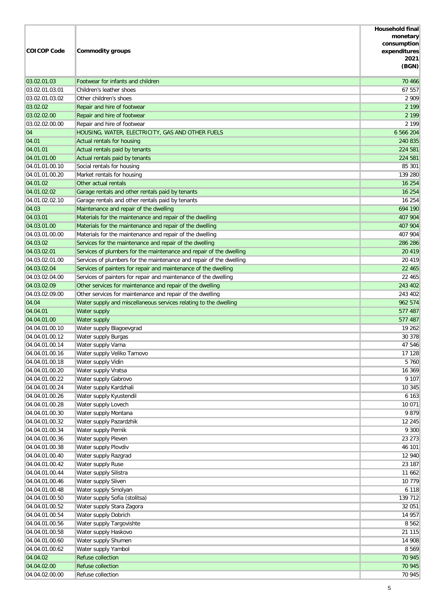| <b>COICOP Code</b>               | <b>Commodity groups</b>                                                                                                        | <b>Household final</b><br>monetary<br>consumption<br>expenditures<br>2021<br>(BGN) |
|----------------------------------|--------------------------------------------------------------------------------------------------------------------------------|------------------------------------------------------------------------------------|
| 03.02.01.03                      | Footwear for infants and children                                                                                              | 70 466                                                                             |
| 03.02.01.03.01                   | Children's leather shoes                                                                                                       | 67 557                                                                             |
| 03.02.01.03.02                   | Other children's shoes                                                                                                         | 2 9 0 9                                                                            |
| 03.02.02                         | Repair and hire of footwear                                                                                                    | 2 1 9 9                                                                            |
| 03.02.02.00                      | Repair and hire of footwear                                                                                                    | 2 1 9 9                                                                            |
| 03.02.02.00.00                   | Repair and hire of footwear                                                                                                    | 2 1 9 9                                                                            |
| 04                               | HOUSING, WATER, ELECTRICITY, GAS AND OTHER FUELS                                                                               | 6 566 204                                                                          |
| 04.01                            | Actual rentals for housing                                                                                                     | 240 835                                                                            |
| 04.01.01                         | Actual rentals paid by tenants                                                                                                 | 224 581                                                                            |
| 04.01.01.00                      | Actual rentals paid by tenants                                                                                                 | 224 581                                                                            |
| 04.01.01.00.10                   | Social rentals for housing                                                                                                     | 85 301                                                                             |
| 04.01.01.00.20                   | Market rentals for housing                                                                                                     | 139 280                                                                            |
| 04.01.02                         | Other actual rentals                                                                                                           | 16 254                                                                             |
| 04.01.02.02                      | Garage rentals and other rentals paid by tenants                                                                               | 16 254                                                                             |
| 04.01.02.02.10                   | Garage rentals and other rentals paid by tenants                                                                               | 16 254                                                                             |
| 04.03                            | Maintenance and repair of the dwelling                                                                                         | 694 190                                                                            |
| 04.03.01                         | Materials for the maintenance and repair of the dwelling                                                                       | 407 904                                                                            |
| 04.03.01.00                      | Materials for the maintenance and repair of the dwelling                                                                       | 407 904                                                                            |
| 04.03.01.00.00<br>04.03.02       | Materials for the maintenance and repair of the dwelling                                                                       | 407 904<br>286 286                                                                 |
| 04.03.02.01                      | Services for the maintenance and repair of the dwelling<br>Services of plumbers for the maintenance and repair of the dwelling | 20 4 19                                                                            |
| 04.03.02.01.00                   | Services of plumbers for the maintenance and repair of the dwelling                                                            | 20 419                                                                             |
| 04.03.02.04                      | Services of painters for repair and maintenance of the dwelling                                                                | 22 4 6 5                                                                           |
| 04.03.02.04.00                   | Services of painters for repair and maintenance of the dwelling                                                                | 22 465                                                                             |
| 04.03.02.09                      | Other services for maintenance and repair of the dwelling                                                                      | 243 402                                                                            |
| 04.03.02.09.00                   | Other services for maintenance and repair of the dwelling                                                                      | 243 402                                                                            |
| 04.04                            | Water supply and miscellaneous services relating to the dwelling                                                               | 962 574                                                                            |
| 04.04.01                         | Water supply                                                                                                                   | 577 487                                                                            |
| 04.04.01.00                      | Water supply                                                                                                                   | 577 487                                                                            |
| 04.04.01.00.10                   | Water supply Blagoevgrad                                                                                                       | 19 262                                                                             |
| 04.04.01.00.12                   | Water supply Burgas                                                                                                            | 30 378                                                                             |
| 04.04.01.00.14                   | Water supply Varna                                                                                                             | 47 546                                                                             |
| 04.04.01.00.16                   | Water supply Veliko Tarnovo                                                                                                    | 17 128                                                                             |
| 04.04.01.00.18                   | Water supply Vidin                                                                                                             | 5 7 6 0                                                                            |
| 04.04.01.00.20                   | Water supply Vratsa                                                                                                            | 16 369                                                                             |
| 04.04.01.00.22                   | Water supply Gabrovo                                                                                                           | 9 1 0 7                                                                            |
| 04.04.01.00.24                   | Water supply Kardzhali                                                                                                         | 10 345                                                                             |
| 04.04.01.00.26                   | Water supply Kyustendil                                                                                                        | 6 1 6 3                                                                            |
| 04.04.01.00.28                   | Water supply Lovech                                                                                                            | 10 071                                                                             |
| 04.04.01.00.30                   | Water supply Montana                                                                                                           | 9879                                                                               |
| 04.04.01.00.32                   | Water supply Pazardzhik                                                                                                        | 12 245                                                                             |
| 04.04.01.00.34                   | Water supply Pernik                                                                                                            | 9 3 0 0                                                                            |
| 04.04.01.00.36                   | Water supply Pleven                                                                                                            | 23 273                                                                             |
| 04.04.01.00.38                   | Water supply Plovdiv<br>Water supply Razgrad                                                                                   | 46 101<br>12 940                                                                   |
| 04.04.01.00.40<br>04.04.01.00.42 | Water supply Ruse                                                                                                              | 23 187                                                                             |
| 04.04.01.00.44                   | Water supply Silistra                                                                                                          | 11 662                                                                             |
| 04.04.01.00.46                   | Water supply Sliven                                                                                                            | 10 779                                                                             |
| 04.04.01.00.48                   | Water supply Smolyan                                                                                                           | 6 1 1 8                                                                            |
| 04.04.01.00.50                   | Water supply Sofia (stolitsa)                                                                                                  | 139 712                                                                            |
| 04.04.01.00.52                   | Water supply Stara Zagora                                                                                                      | 32 051                                                                             |
| 04.04.01.00.54                   | Water supply Dobrich                                                                                                           | 14 957                                                                             |
| 04.04.01.00.56                   | Water supply Targovishte                                                                                                       | 8 5 6 2                                                                            |
| 04.04.01.00.58                   | Water supply Haskovo                                                                                                           | 21 1 15                                                                            |
| 04.04.01.00.60                   | Water supply Shumen                                                                                                            | 14 908                                                                             |
| 04.04.01.00.62                   | Water supply Yambol                                                                                                            | 8 5 6 9                                                                            |
| 04.04.02                         | Refuse collection                                                                                                              | 70 945                                                                             |
| 04.04.02.00                      | Refuse collection                                                                                                              | 70 945                                                                             |
| 04.04.02.00.00                   | Refuse collection                                                                                                              | 70 945                                                                             |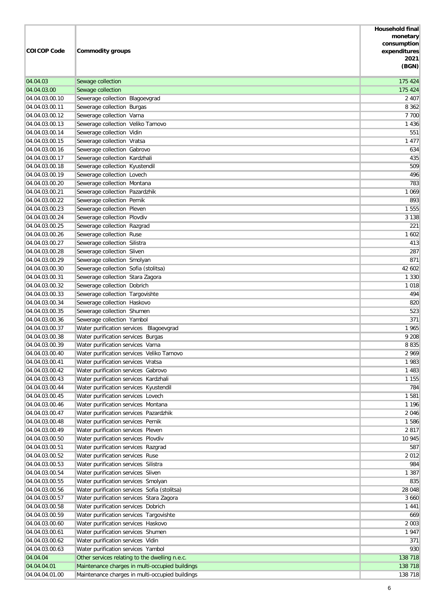| <b>COICOP Code</b>               | <b>Commodity groups</b>                                                             | <b>Household final</b><br>monetary<br>consumption<br>expenditures<br>2021<br>(BGN) |
|----------------------------------|-------------------------------------------------------------------------------------|------------------------------------------------------------------------------------|
| 04.04.03                         | Sewage collection                                                                   | 175 424                                                                            |
| 04.04.03.00                      | Sewage collection                                                                   | 175 424                                                                            |
| 04.04.03.00.10                   | Sewerage collection Blagoevgrad                                                     | 2 4 0 7                                                                            |
| 04.04.03.00.11                   | Sewerage collection Burgas                                                          | 8 3 6 2                                                                            |
| 04.04.03.00.12                   | Sewerage collection Varna                                                           | 7 700                                                                              |
| 04.04.03.00.13                   | Sewerage collection Veliko Tarnovo                                                  | 1 4 3 6                                                                            |
| 04.04.03.00.14                   | Sewerage collection Vidin                                                           | 551                                                                                |
| 04.04.03.00.15                   | Sewerage collection Vratsa                                                          | 1 4 7 7                                                                            |
| 04.04.03.00.16                   | Sewerage collection Gabrovo                                                         | 634                                                                                |
| 04.04.03.00.17                   | Sewerage collection Kardzhali                                                       | 435                                                                                |
| 04.04.03.00.18                   | Sewerage collection Kyustendil                                                      | 509                                                                                |
| 04.04.03.00.19                   | Sewerage collection Lovech                                                          | 496                                                                                |
| 04.04.03.00.20                   | Sewerage collection Montana<br>Sewerage collection Pazardzhik                       | 783                                                                                |
| 04.04.03.00.21<br>04.04.03.00.22 | Sewerage collection Pernik                                                          | 1 0 6 9<br>893                                                                     |
| 04.04.03.00.23                   | Sewerage collection Pleven                                                          | 1 5 5 5                                                                            |
| 04.04.03.00.24                   | Sewerage collection Plovdiv                                                         | 3 1 3 8                                                                            |
| 04.04.03.00.25                   | Sewerage collection Razgrad                                                         | 221                                                                                |
| 04.04.03.00.26                   | Sewerage collection Ruse                                                            | 1 602                                                                              |
| 04.04.03.00.27                   | Sewerage collection Silistra                                                        | 413                                                                                |
| 04.04.03.00.28                   | Sewerage collection Sliven                                                          | 287                                                                                |
| 04.04.03.00.29                   | Sewerage collection Smolyan                                                         | 871                                                                                |
| 04.04.03.00.30                   | Sewerage collection Sofia (stolitsa)                                                | 42 602                                                                             |
| 04.04.03.00.31                   | Sewerage collection Stara Zagora                                                    | 1 3 3 0                                                                            |
| 04.04.03.00.32                   | Sewerage collection Dobrich                                                         | 1018                                                                               |
| 04.04.03.00.33                   | Sewerage collection Targovishte                                                     | 494                                                                                |
| 04.04.03.00.34                   | Sewerage collection Haskovo                                                         | 820                                                                                |
| 04.04.03.00.35                   | Sewerage collection Shumen                                                          | 523                                                                                |
| 04.04.03.00.36                   | Sewerage collection Yambol                                                          | 371                                                                                |
| 04.04.03.00.37                   | Water purification services Blagoevgrad                                             | 1965                                                                               |
| 04.04.03.00.38                   | Water purification services Burgas                                                  | 9 208                                                                              |
| 04.04.03.00.39<br>04.04.03.00.40 | Water purification services Varna<br>Water purification services Veliko Tarnovo     | 8 8 3 5<br>2 9 6 9                                                                 |
| 04.04.03.00.41                   | Water purification services Vratsa                                                  | 1983                                                                               |
| 04.04.03.00.42                   | Water purification services Gabrovo                                                 | 1 4 8 3                                                                            |
| 04.04.03.00.43                   | Water purification services Kardzhali                                               | 1 1 5 5                                                                            |
| 04.04.03.00.44                   | Water purification services Kyustendil                                              | 784                                                                                |
| 04.04.03.00.45                   | Water purification services Lovech                                                  | 1 5 8 1                                                                            |
| 04.04.03.00.46                   | Water purification services Montana                                                 | 1 1 9 6                                                                            |
| 04.04.03.00.47                   | Water purification services Pazardzhik                                              | 2 0 4 6                                                                            |
| 04.04.03.00.48                   | Water purification services Pernik                                                  | 1586                                                                               |
| 04.04.03.00.49                   | Water purification services Pleven                                                  | 2817                                                                               |
| 04.04.03.00.50                   | Water purification services Plovdiv                                                 | 10 945                                                                             |
| 04.04.03.00.51                   | Water purification services Razgrad                                                 | 587                                                                                |
| 04.04.03.00.52                   | Water purification services Ruse                                                    | 2012                                                                               |
| 04.04.03.00.53                   | Water purification services Silistra                                                | 984                                                                                |
| 04.04.03.00.54<br>04.04.03.00.55 | Water purification services Sliven                                                  | 1 3 8 7<br>835                                                                     |
| 04.04.03.00.56                   | Water purification services Smolyan<br>Water purification services Sofia (stolitsa) | 28 048                                                                             |
| 04.04.03.00.57                   | Water purification services Stara Zagora                                            | 3 6 6 0                                                                            |
| 04.04.03.00.58                   | Water purification services Dobrich                                                 | 1441                                                                               |
| 04.04.03.00.59                   | Water purification services Targovishte                                             | 669                                                                                |
| 04.04.03.00.60                   | Water purification services Haskovo                                                 | 2 0 0 3                                                                            |
| 04.04.03.00.61                   | Water purification services Shumen                                                  | 1947                                                                               |
| 04.04.03.00.62                   | Water purification services Vidin                                                   | 371                                                                                |
| 04.04.03.00.63                   | Water purification services Yambol                                                  | 930                                                                                |
| 04.04.04                         | Other services relating to the dwelling n.e.c.                                      | 138 718                                                                            |
| 04.04.04.01                      | Maintenance charges in multi-occupied buildings                                     | 138 718                                                                            |
| 04.04.04.01.00                   | Maintenance charges in multi-occupied buildings                                     | 138 718                                                                            |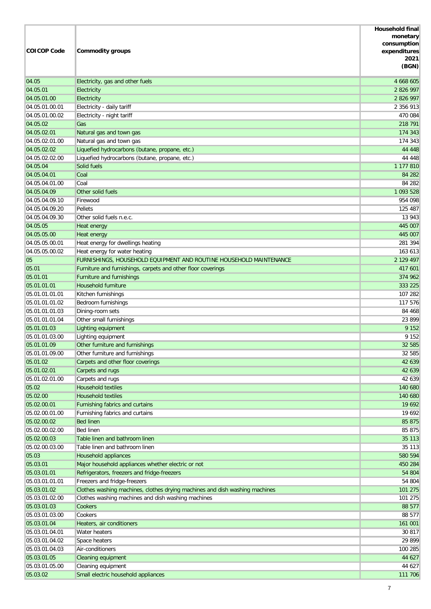|                                  |                                                                                                     | <b>Household final</b> |
|----------------------------------|-----------------------------------------------------------------------------------------------------|------------------------|
|                                  |                                                                                                     | monetary               |
| <b>COICOP Code</b>               |                                                                                                     | consumption            |
|                                  | <b>Commodity groups</b>                                                                             | expenditures<br>2021   |
|                                  |                                                                                                     | (BGN)                  |
|                                  |                                                                                                     |                        |
| 04.05                            | Electricity, gas and other fuels                                                                    | 4 668 605              |
| 04.05.01                         | Electricity                                                                                         | 2 826 997              |
| 04.05.01.00                      | Electricity                                                                                         | 2 826 997              |
| 04.05.01.00.01                   | Electricity - daily tariff                                                                          | 2 356 913              |
| 04.05.01.00.02                   | Electricity - night tariff                                                                          | 470 084                |
| 04.05.02                         | Gas                                                                                                 | 218 791                |
| 04.05.02.01                      | Natural gas and town gas                                                                            | 174 343                |
| 04.05.02.01.00                   | Natural gas and town gas                                                                            | 174 343                |
| 04.05.02.02                      | Liquefied hydrocarbons (butane, propane, etc.)                                                      | 44 4 48                |
| 04.05.02.02.00                   | Liquefied hydrocarbons (butane, propane, etc.)                                                      | 44 4 48                |
| 04.05.04                         | Solid fuels                                                                                         | 1 177 810              |
| 04.05.04.01                      | Coal                                                                                                | 84 282                 |
| 04.05.04.01.00                   | Coal                                                                                                | 84 282                 |
| 04.05.04.09                      | Other solid fuels                                                                                   | 1 093 528              |
| 04.05.04.09.10                   | Firewood<br>Pellets                                                                                 | 954 098                |
| 04.05.04.09.20<br>04.05.04.09.30 | Other solid fuels n.e.c.                                                                            | 125 487                |
| 04.05.05                         |                                                                                                     | 13 943<br>445 007      |
| 04.05.05.00                      | Heat energy                                                                                         | 445 007                |
| 04.05.05.00.01                   | Heat energy                                                                                         | 281 394                |
| 04.05.05.00.02                   | Heat energy for dwellings heating                                                                   | 163 613                |
|                                  | Heat energy for water heating<br>FURNISHINGS, HOUSEHOLD EQUIPMENT AND ROUTINE HOUSEHOLD MAINTENANCE | 2 129 497              |
| 05<br>05.01                      | Furniture and furnishings, carpets and other floor coverings                                        | 417 601                |
| 05.01.01                         | Furniture and furnishings                                                                           | 374 962                |
| 05.01.01.01                      | Household furniture                                                                                 | 333 225                |
| 05.01.01.01.01                   | Kitchen furnishings                                                                                 | 107 282                |
| 05.01.01.01.02                   | Bedroom furnishings                                                                                 | 117 576                |
| 05.01.01.01.03                   | Dining-room sets                                                                                    | 84 468                 |
| 05.01.01.01.04                   | Other small furnishings                                                                             | 23 899                 |
| 05.01.01.03                      | Lighting equipment                                                                                  | 9 1 5 2                |
| 05.01.01.03.00                   | Lighting equipment                                                                                  | 9 1 5 2                |
| 05.01.01.09                      | Other furniture and furnishings                                                                     | 32 585                 |
| 05.01.01.09.00                   | Other furniture and furnishings                                                                     | 32 585                 |
| 05.01.02                         | Carpets and other floor coverings                                                                   | 42 639                 |
| 05.01.02.01                      | Carpets and rugs                                                                                    | 42 639                 |
| 05.01.02.01.00                   | Carpets and rugs                                                                                    | 42 639                 |
| 05.02                            | <b>Household textiles</b>                                                                           | 140 680                |
| 05.02.00                         | <b>Household textiles</b>                                                                           | 140 680                |
| 05.02.00.01                      | Furnishing fabrics and curtains                                                                     | 19 692                 |
| 05.02.00.01.00                   | Furnishing fabrics and curtains                                                                     | 19 692                 |
| 05.02.00.02                      | <b>Bed linen</b>                                                                                    | 85 875                 |
| 05.02.00.02.00                   | <b>Bed linen</b>                                                                                    | 85 875                 |
| 05.02.00.03                      | Table linen and bathroom linen                                                                      | 35 113                 |
| 05.02.00.03.00                   | Table linen and bathroom linen                                                                      | 35 113                 |
| 05.03                            | Household appliances                                                                                | 580 594                |
| 05.03.01                         | Major household appliances whether electric or not                                                  | 450 284                |
| 05.03.01.01                      | Refrigerators, freezers and fridge-freezers                                                         | 54 804                 |
| 05.03.01.01.01                   | Freezers and fridge-freezers                                                                        | 54 804                 |
| 05.03.01.02                      | Clothes washing machines, clothes drying machines and dish washing machines                         | 101 275                |
| 05.03.01.02.00                   | Clothes washing machines and dish washing machines                                                  | 101 275                |
| 05.03.01.03                      | Cookers                                                                                             | 88 577                 |
| 05.03.01.03.00                   | Cookers                                                                                             | 88 577                 |
| 05.03.01.04                      | Heaters, air conditioners                                                                           | 161 001                |
| 05.03.01.04.01                   | Water heaters                                                                                       | 30 817                 |
| 05.03.01.04.02                   | Space heaters                                                                                       | 29 899                 |
| 05.03.01.04.03                   | Air-conditioners                                                                                    | 100 285                |
| 05.03.01.05                      | Cleaning equipment                                                                                  | 44 627                 |
| 05.03.01.05.00                   | Cleaning equipment                                                                                  | 44 627                 |
| 05.03.02                         | Small electric household appliances                                                                 | 111 706                |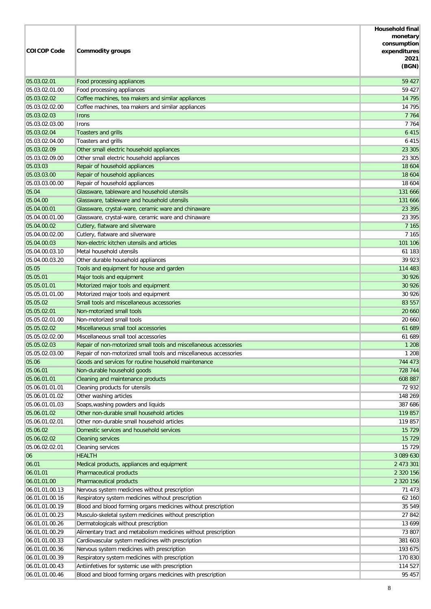| <b>COICOP Code</b>               | <b>Commodity groups</b>                                                                                                   | <b>Household final</b><br>monetary<br>consumption<br>expenditures<br>2021<br>(BGN) |
|----------------------------------|---------------------------------------------------------------------------------------------------------------------------|------------------------------------------------------------------------------------|
| 05.03.02.01                      | Food processing appliances                                                                                                | 59 427                                                                             |
| 05.03.02.01.00                   | Food processing appliances                                                                                                | 59 427                                                                             |
| 05.03.02.02                      | Coffee machines, tea makers and similar appliances                                                                        | 14 795                                                                             |
| 05.03.02.02.00                   | Coffee machines, tea makers and similar appliances                                                                        | 14 795                                                                             |
| 05.03.02.03                      | <b>Irons</b>                                                                                                              | 7 7 6 4                                                                            |
| 05.03.02.03.00                   | Irons                                                                                                                     | 7 7 6 4                                                                            |
| 05.03.02.04                      | Toasters and grills                                                                                                       | 6 4 1 5                                                                            |
| 05.03.02.04.00                   | Toasters and grills                                                                                                       | 6 4 1 5                                                                            |
| 05.03.02.09<br>05.03.02.09.00    | Other small electric household appliances                                                                                 | 23 30 5                                                                            |
| 05.03.03                         | Other small electric household appliances<br>Repair of household appliances                                               | 23 30 5<br>18 604                                                                  |
| 05.03.03.00                      | Repair of household appliances                                                                                            | 18 604                                                                             |
| 05.03.03.00.00                   | Repair of household appliances                                                                                            | 18 604                                                                             |
| 05.04                            | Glassware, tableware and household utensils                                                                               | 131 666                                                                            |
| 05.04.00                         | Glassware, tableware and household utensils                                                                               | 131 666                                                                            |
| 05.04.00.01                      | Glassware, crystal-ware, ceramic ware and chinaware                                                                       | 23 3 9 5                                                                           |
| 05.04.00.01.00                   | Glassware, crystal-ware, ceramic ware and chinaware                                                                       | 23 395                                                                             |
| 05.04.00.02                      | Cutlery, flatware and silverware                                                                                          | 7 1 6 5                                                                            |
| 05.04.00.02.00                   | Cutlery, flatware and silverware                                                                                          | 7 1 6 5                                                                            |
| 05.04.00.03                      | Non-electric kitchen utensils and articles                                                                                | 101 106                                                                            |
| 05.04.00.03.10                   | Metal household utensils                                                                                                  | 61 183                                                                             |
| 05.04.00.03.20                   | Other durable household appliances                                                                                        | 39 923                                                                             |
| 05.05                            | Tools and equipment for house and garden                                                                                  | 114 483                                                                            |
| 05.05.01                         | Major tools and equipment                                                                                                 | 30 9 26                                                                            |
| 05.05.01.01                      | Motorized major tools and equipment                                                                                       | 30 9 26                                                                            |
| 05.05.01.01.00                   | Motorized major tools and equipment                                                                                       | 30 9 26                                                                            |
| 05.05.02                         | Small tools and miscellaneous accessories                                                                                 | 83 557                                                                             |
| 05.05.02.01                      | Non-motorized small tools                                                                                                 | 20 660                                                                             |
| 05.05.02.01.00                   | Non-motorized small tools                                                                                                 | 20 660                                                                             |
| 05.05.02.02                      | Miscellaneous small tool accessories                                                                                      | 61 689                                                                             |
| 05.05.02.02.00                   | Miscellaneous small tool accessories                                                                                      | 61 689                                                                             |
| 05.05.02.03                      | Repair of non-motorized small tools and miscellaneous accessories                                                         | 1 2 0 8                                                                            |
| 05.05.02.03.00<br>05.06          | Repair of non-motorized small tools and miscellaneous accessories<br>Goods and services for routine household maintenance | 1 2 0 8<br>744 473                                                                 |
| 05.06.01                         |                                                                                                                           | 728 744                                                                            |
| 05.06.01.01                      | Non-durable household goods<br>Cleaning and maintenance products                                                          | 608 887                                                                            |
| 05.06.01.01.01                   | Cleaning products for utensils                                                                                            | 72 932                                                                             |
| 05.06.01.01.02                   | Other washing articles                                                                                                    | 148 269                                                                            |
| 05.06.01.01.03                   | Soaps, washing powders and liquids                                                                                        | 387 686                                                                            |
| 05.06.01.02                      | Other non-durable small household articles                                                                                | 119 857                                                                            |
| 05.06.01.02.01                   | Other non-durable small household articles                                                                                | 119 857                                                                            |
| 05.06.02                         | Domestic services and household services                                                                                  | 15 7 29                                                                            |
| 05.06.02.02                      | <b>Cleaning services</b>                                                                                                  | 15 7 29                                                                            |
| 05.06.02.02.01                   | Cleaning services                                                                                                         | 15 7 29                                                                            |
| 06                               | <b>HEALTH</b>                                                                                                             | 3 089 630                                                                          |
| 06.01                            | Medical products, appliances and equipment                                                                                | 2 473 301                                                                          |
| 06.01.01                         | Pharmaceutical products                                                                                                   | 2 320 156                                                                          |
| 06.01.01.00                      | Pharmaceutical products                                                                                                   | 2 320 156                                                                          |
| 06.01.01.00.13                   | Nervous system medicines without prescription                                                                             | 71 473                                                                             |
| 06.01.01.00.16                   | Respiratory system medicines without prescription                                                                         | 62 160                                                                             |
| 06.01.01.00.19                   | Blood and blood forming organs medicines without prescription                                                             | 35 549                                                                             |
| 06.01.01.00.23                   | Musculo-skeletal system medicines without prescription                                                                    | 27 842                                                                             |
| 06.01.01.00.26                   | Dermatologicals without prescription                                                                                      | 13 699                                                                             |
| 06.01.01.00.29                   | Alimentary tract and metabolism medicines without prescription                                                            | 73 807                                                                             |
| 06.01.01.00.33                   | Cardiovascular system medicines with prescription                                                                         | 381 603                                                                            |
| 06.01.01.00.36                   | Nervous system medicines with prescription                                                                                | 193 675                                                                            |
| 06.01.01.00.39<br>06.01.01.00.43 | Respiratory system medicines with prescription<br>Antiinfetives for systemic use with prescription                        | 170 830<br>114 527                                                                 |
| 06.01.01.00.46                   | Blood and blood forming organs medicines with prescription                                                                | 95 457                                                                             |
|                                  |                                                                                                                           |                                                                                    |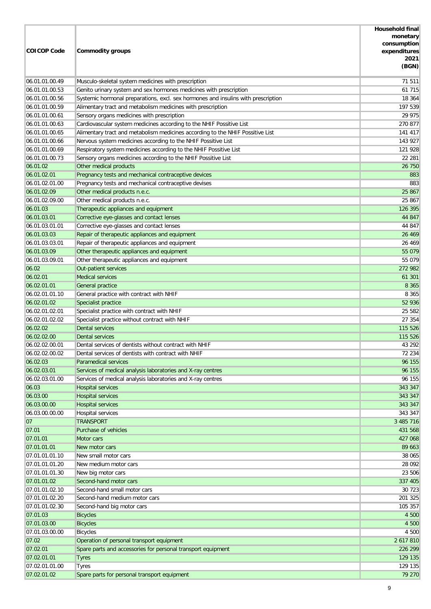|                                  |                                                                                                              | <b>Household final</b> |
|----------------------------------|--------------------------------------------------------------------------------------------------------------|------------------------|
|                                  |                                                                                                              | monetary               |
| <b>COICOP Code</b>               |                                                                                                              | consumption            |
|                                  | Commodity groups                                                                                             | expenditures<br>2021   |
|                                  |                                                                                                              | (BGN)                  |
|                                  |                                                                                                              |                        |
| 06.01.01.00.49                   | Musculo-skeletal system medicines with prescription                                                          | 71 511                 |
| 06.01.01.00.53                   | Genito urinary system and sex hormones medicines with prescription                                           | 61 715                 |
| 06.01.01.00.56                   | Systemic hormonal preparations, excl. sex hormones and insulins with prescription                            | 18 364                 |
| 06.01.01.00.59                   | Alimentary tract and metabolism medicines with prescription                                                  | 197 539                |
| 06.01.01.00.61                   | Sensory organs medicines with prescription                                                                   | 29 975                 |
| 06.01.01.00.63                   | Cardiovascular system medicines according to the NHIF Possitive List                                         | 270 877                |
| 06.01.01.00.65                   | Alimentary tract and metabolism medicines according to the NHIF Possitive List                               | 141 417<br>143 927     |
| 06.01.01.00.66<br>06.01.01.00.69 | Nervous system medicines according to the NHIF Possitive List                                                |                        |
|                                  | Respiratory system medicines according to the NHIF Possitive List                                            | 121 928<br>22 281      |
| 06.01.01.00.73<br>06.01.02       | Sensory organs medicines according to the NHIF Possitive List                                                |                        |
| 06.01.02.01                      | Other medical products                                                                                       | 26 750                 |
| 06.01.02.01.00                   | Pregnancy tests and mechanical contraceptive devices<br>Pregnancy tests and mechanical contraceptive devises | 883<br>883             |
| 06.01.02.09                      | Other medical products n.e.c.                                                                                | 25 867                 |
| 06.01.02.09.00                   | Other medical products n.e.c.                                                                                | 25 867                 |
| 06.01.03                         | Therapeutic appliances and equipment                                                                         | 126 395                |
| 06.01.03.01                      |                                                                                                              | 44 847                 |
| 06.01.03.01.01                   | Corrective eye-glasses and contact lenses<br>Corrective eye-glasses and contact lenses                       |                        |
| 06.01.03.03                      |                                                                                                              | 44 847                 |
| 06.01.03.03.01                   | Repair of therapeutic appliances and equipment                                                               | 26 4 69<br>26 4 69     |
| 06.01.03.09                      | Repair of therapeutic appliances and equipment                                                               | 55 079                 |
| 06.01.03.09.01                   | Other therapeutic appliances and equipment                                                                   | 55 079                 |
| 06.02                            | Other therapeutic appliances and equipment<br>Out-patient services                                           | 272 982                |
| 06.02.01                         | <b>Medical services</b>                                                                                      | 61 301                 |
| 06.02.01.01                      | General practice                                                                                             | 8 3 6 5                |
| 06.02.01.01.10                   | General practice with contract with NHIF                                                                     | 8 3 6 5                |
| 06.02.01.02                      | Specialist practice                                                                                          | 52 936                 |
| 06.02.01.02.01                   | Specialist practice with contract with NHIF                                                                  | 25 582                 |
| 06.02.01.02.02                   | Specialist practice without contract with NHIF                                                               | 27 354                 |
| 06.02.02                         | <b>Dental services</b>                                                                                       | 115 526                |
| 06.02.02.00                      | Dental services                                                                                              | 115 526                |
| 06.02.02.00.01                   | Dental services of dentists without contract with NHIF                                                       | 43 29 2                |
| 06.02.02.00.02                   | Dental services of dentists with contract with NHIF                                                          | 72 234                 |
| 06.02.03                         | Paramedical services                                                                                         | 96 155                 |
| 06.02.03.01                      | Services of medical analysis laboratories and X-ray centres                                                  | 96 155                 |
| 06.02.03.01.00                   | Services of medical analysis laboratories and X-ray centres                                                  | 96 155                 |
| 06.03                            | <b>Hospital services</b>                                                                                     | 343 347                |
| 06.03.00                         | <b>Hospital services</b>                                                                                     | 343 347                |
| 06.03.00.00                      | <b>Hospital services</b>                                                                                     | 343 347                |
| 06.03.00.00.00                   | Hospital services                                                                                            | 343 347                |
| 07                               | <b>TRANSPORT</b>                                                                                             | 3 485 716              |
| 07.01                            | Purchase of vehicles                                                                                         | 431 568                |
| 07.01.01                         | Motor cars                                                                                                   | 427 068                |
| 07.01.01.01                      | New motor cars                                                                                               | 89 663                 |
| 07.01.01.01.10                   | New small motor cars                                                                                         | 38 065                 |
| 07.01.01.01.20                   | New medium motor cars                                                                                        | 28 092                 |
| 07.01.01.01.30                   | New big motor cars                                                                                           | 23 506                 |
| 07.01.01.02                      | Second-hand motor cars                                                                                       | 337 405                |
| 07.01.01.02.10                   | Second-hand small motor cars                                                                                 | 30 723                 |
| 07.01.01.02.20                   | Second-hand medium motor cars                                                                                | 201 325                |
| 07.01.01.02.30                   | Second-hand big motor cars                                                                                   | 105 357                |
| 07.01.03                         | <b>Bicycles</b>                                                                                              | 4 500                  |
| 07.01.03.00                      | <b>Bicycles</b>                                                                                              | 4 500                  |
| 07.01.03.00.00                   | <b>Bicycles</b>                                                                                              | 4 500                  |
| 07.02                            | Operation of personal transport equipment                                                                    | 2 617 810              |
| 07.02.01                         | Spare parts and accessories for personal transport equipment                                                 | 226 299                |
| 07.02.01.01                      | <b>Tyres</b>                                                                                                 | 129 135                |
| 07.02.01.01.00                   | <b>Tyres</b>                                                                                                 | 129 135                |
| 07.02.01.02                      | Spare parts for personal transport equipment                                                                 | 79 270                 |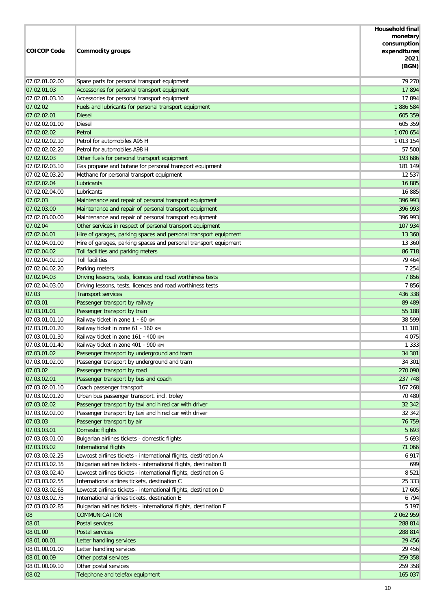| <b>COICOP Code</b>            | <b>Commodity groups</b>                                                                                          | <b>Household final</b><br>monetary<br>consumption<br>expenditures<br>2021<br>(BGN) |
|-------------------------------|------------------------------------------------------------------------------------------------------------------|------------------------------------------------------------------------------------|
| 07.02.01.02.00                | Spare parts for personal transport equipment                                                                     | 79 270                                                                             |
| 07.02.01.03                   | Accessories for personal transport equipment                                                                     | 17 894                                                                             |
| 07.02.01.03.10                | Accessories for personal transport equipment                                                                     | 17894                                                                              |
| 07.02.02                      | Fuels and lubricants for personal transport equipment                                                            | 1886 584                                                                           |
| 07.02.02.01                   | <b>Diesel</b>                                                                                                    | 605 359                                                                            |
| 07.02.02.01.00                | <b>Diesel</b>                                                                                                    | 605 359                                                                            |
| 07.02.02.02                   | Petrol                                                                                                           | 1 070 654                                                                          |
| 07.02.02.02.10                | Petrol for automobiles A95 H                                                                                     | 1 013 154                                                                          |
| 07.02.02.02.20                | Petrol for automobiles A98 H                                                                                     | 57 500                                                                             |
| 07.02.02.03                   | Other fuels for personal transport equipment                                                                     | 193 686                                                                            |
| 07.02.02.03.10                | Gas propane and butane for personal transport equipment                                                          | 181 149                                                                            |
| 07.02.02.03.20                | Methane for personal transport equipment                                                                         | 12 537                                                                             |
| 07.02.02.04                   | Lubricants                                                                                                       | 16 885                                                                             |
| 07.02.02.04.00                | Lubricants                                                                                                       | 16 885                                                                             |
| 07.02.03                      | Maintenance and repair of personal transport equipment                                                           | 396 993                                                                            |
| 07.02.03.00<br>07.02.03.00.00 | Maintenance and repair of personal transport equipment<br>Maintenance and repair of personal transport equipment | 396 993<br>396 993                                                                 |
| 07.02.04                      | Other services in respect of personal transport equipment                                                        | 107 934                                                                            |
| 07.02.04.01                   | Hire of garages, parking spaces and personal transport equipment                                                 | 13 360                                                                             |
| 07.02.04.01.00                | Hire of garages, parking spaces and personal transport equipment                                                 | 13 360                                                                             |
| 07.02.04.02                   | Toll facilities and parking meters                                                                               | 86 718                                                                             |
| 07.02.04.02.10                | <b>Toll facilities</b>                                                                                           | 79 464                                                                             |
| 07.02.04.02.20                | Parking meters                                                                                                   | 7 2 5 4                                                                            |
| 07.02.04.03                   | Driving lessons, tests, licences and road worthiness tests                                                       | 7856                                                                               |
| 07.02.04.03.00                | Driving lessons, tests, licences and road worthiness tests                                                       | 7856                                                                               |
| 07.03                         | <b>Transport services</b>                                                                                        | 436 338                                                                            |
| 07.03.01                      | Passenger transport by railway                                                                                   | 89 489                                                                             |
| 07.03.01.01                   | Passenger transport by train                                                                                     | 55 188                                                                             |
| 07.03.01.01.10                | Railway ticket in zone 1 - 60 KM                                                                                 | 38 599                                                                             |
| 07.03.01.01.20                | Railway ticket in zone 61 - 160 KM                                                                               | 11 181                                                                             |
| 07.03.01.01.30                | Railway ticket in zone 161 - 400 KM                                                                              | 4 0 7 5                                                                            |
| 07.03.01.01.40                | Railway ticket in zone 401 - 900 KM                                                                              | 1 3 3 3                                                                            |
| 07.03.01.02                   | Passenger transport by underground and tram                                                                      | 34 301                                                                             |
| 07.03.01.02.00                | Passenger transport by underground and tram                                                                      | 34 301                                                                             |
| 07.03.02                      | Passenger transport by road                                                                                      | 270 090                                                                            |
| 07.03.02.01                   | Passenger transport by bus and coach                                                                             | 237 748                                                                            |
| 07.03.02.01.10                | Coach passenger transport                                                                                        | 167 268                                                                            |
| 07.03.02.01.20                | Urban bus passenger transport. incl. troley                                                                      | 70 480                                                                             |
| 07.03.02.02                   | Passenger transport by taxi and hired car with driver                                                            | 32 342                                                                             |
| 07.03.02.02.00                | Passenger transport by taxi and hired car with driver                                                            | 32 342                                                                             |
| 07.03.03                      | Passenger transport by air                                                                                       | 76 759                                                                             |
| 07.03.03.01<br>07.03.03.01.00 | Domestic flights                                                                                                 | 5 6 9 3<br>5 6 9 3                                                                 |
| 07.03.03.02                   | Bulgarian airlines tickets - domestic flights<br>International flights                                           | 71 066                                                                             |
| 07.03.03.02.25                | Lowcost airlines tickets - international flights, destination A                                                  | 6 9 1 7                                                                            |
| 07.03.03.02.35                | Bulgarian airlines tickets - international flights, destination B                                                | 699                                                                                |
| 07.03.03.02.40                | Lowcost airlines tickets - international flights, destination G                                                  | 8 5 21                                                                             |
| 07.03.03.02.55                | International airlines tickets, destination C                                                                    | 25 333                                                                             |
| 07.03.03.02.65                | Lowcost airlines tickets - international flights, destination D                                                  | 17 605                                                                             |
| 07.03.03.02.75                | International airlines tickets, destination E                                                                    | 6 7 9 4                                                                            |
| 07.03.03.02.85                | Bulgarian airlines tickets - international flights, destination F                                                | 5 1 9 7                                                                            |
| 08                            | <b>COMMUNICATION</b>                                                                                             | 2 062 959                                                                          |
| 08.01                         | Postal services                                                                                                  | 288 814                                                                            |
| 08.01.00                      | Postal services                                                                                                  | 288 814                                                                            |
| 08.01.00.01                   | Letter handling services                                                                                         | 29 45 6                                                                            |
| 08.01.00.01.00                | Letter handling services                                                                                         | 29 456                                                                             |
| 08.01.00.09                   | Other postal services                                                                                            | 259 358                                                                            |
| 08.01.00.09.10                | Other postal services                                                                                            | 259 358                                                                            |
| 08.02                         | Telephone and telefax equipment                                                                                  | 165 037                                                                            |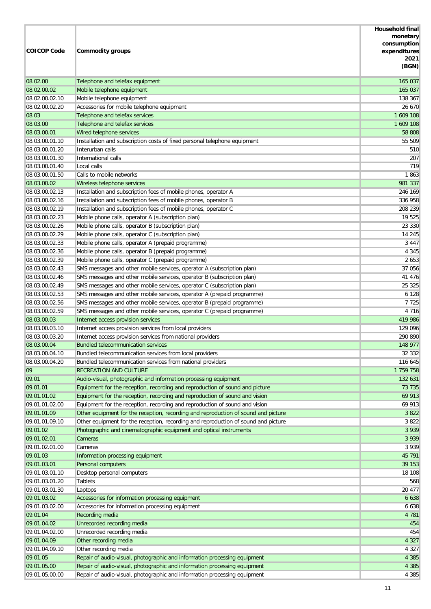|                    |                                                                                    | <b>Household final</b> |
|--------------------|------------------------------------------------------------------------------------|------------------------|
|                    |                                                                                    | monetary               |
| <b>COICOP Code</b> |                                                                                    | consumption            |
|                    | <b>Commodity groups</b>                                                            | expenditures<br>2021   |
|                    |                                                                                    | (BGN)                  |
|                    |                                                                                    |                        |
| 08.02.00           | Telephone and telefax equipment                                                    | 165 037                |
| 08.02.00.02        | Mobile telephone equipment                                                         | 165 037                |
| 08.02.00.02.10     | Mobile telephone equipment                                                         | 138 367                |
| 08.02.00.02.20     | Accessories for mobile telephone equipment                                         | 26 670                 |
| 08.03              | Telephone and telefax services                                                     | 1 609 108              |
| 08.03.00           | Telephone and telefax services                                                     | 1 609 108              |
| 08.03.00.01        | Wired telephone services                                                           | 58 808                 |
| 08.03.00.01.10     | Installation and subscription costs of fixed personal telephone equipment          | 55 509                 |
| 08.03.00.01.20     | Interurban calls                                                                   | 510                    |
| 08.03.00.01.30     | International calls                                                                | 207                    |
| 08.03.00.01.40     | Local calls                                                                        | 719                    |
| 08.03.00.01.50     | Calls to mobile networks                                                           | 1863                   |
| 08.03.00.02        | Wireless telephone services                                                        | 981 337                |
| 08.03.00.02.13     | Installation and subscription fees of mobile phones, operator A                    | 246 169                |
| 08.03.00.02.16     | Installation and subscription fees of mobile phones, operator B                    | 336 958                |
| 08.03.00.02.19     | Installation and subscription fees of mobile phones, operator C                    | 208 239                |
| 08.03.00.02.23     | Mobile phone calls, operator A (subscription plan)                                 | 19 525                 |
| 08.03.00.02.26     | Mobile phone calls, operator B (subscription plan)                                 | 23 330                 |
| 08.03.00.02.29     | Mobile phone calls, operator C (subscription plan)                                 | 14 245                 |
| 08.03.00.02.33     | Mobile phone calls, operator A (prepaid programme)                                 | 3 4 4 7                |
| 08.03.00.02.36     | Mobile phone calls, operator B (prepaid programme)                                 | 4 3 4 5                |
| 08.03.00.02.39     | Mobile phone calls, operator C (prepaid programme)                                 | 2 6 5 3                |
| 08.03.00.02.43     | SMS messages and other mobile services, operator A (subscription plan)             | 37 056                 |
| 08.03.00.02.46     | SMS messages and other mobile services, operator B (subscription plan)             | 41 476                 |
| 08.03.00.02.49     | SMS messages and other mobile services, operator C (subscription plan)             | 25 3 25                |
| 08.03.00.02.53     | SMS messages and other mobile services, operator A (prepaid programme)             | 6 1 2 8                |
| 08.03.00.02.56     | SMS messages and other mobile services, operator B (prepaid programme)             | 7725                   |
| 08.03.00.02.59     | SMS messages and other mobile services, operator C (prepaid programme)             | 4 7 1 6                |
| 08.03.00.03        | Internet access provision services                                                 | 419 986                |
| 08.03.00.03.10     | Internet access provision services from local providers                            | 129 096                |
| 08.03.00.03.20     | Internet access provision services from national providers                         | 290 890                |
| 08.03.00.04        | <b>Bundled telecommunication services</b>                                          | 148 977                |
| 08.03.00.04.10     | Bundled telecommunication services from local providers                            | 32 332                 |
| 08.03.00.04.20     | Bundled telecommunication services from national providers                         | 116 645                |
| 09                 | RECREATION AND CULTURE                                                             | 1 759 758              |
| 09.01              | Audio-visual, photographic and information processing equipment                    | 132 631                |
| 09.01.01           | Equipment for the reception, recording and reproduction of sound and picture       | 73 735                 |
| 09.01.01.02        | Equipment for the reception, recording and reproduction of sound and vision        | 69 913                 |
| 09.01.01.02.00     | Equipment for the reception, recording and reproduction of sound and vision        | 69 913                 |
| 09.01.01.09        | Other equipment for the reception, recording and reproduction of sound and picture | 3 8 2 2                |
| 09.01.01.09.10     | Other equipment for the reception, recording and reproduction of sound and picture | 3 8 2 2                |
| 09.01.02           | Photographic and cinematographic equipment and optical instruments                 | 3 9 3 9                |
| 09.01.02.01        | Cameras                                                                            | 3 9 3 9                |
| 09.01.02.01.00     | Cameras                                                                            | 3 9 3 9                |
| 09.01.03           | Information processing equipment                                                   | 45 791                 |
| 09.01.03.01        | Personal computers                                                                 | 39 153                 |
| 09.01.03.01.10     | Desktop personal computers                                                         | 18 108                 |
| 09.01.03.01.20     | <b>Tablets</b>                                                                     | 568                    |
| 09.01.03.01.30     | Laptops                                                                            | 20 477                 |
| 09.01.03.02        | Accessories for information processing equipment                                   | 6 6 3 8                |
| 09.01.03.02.00     | Accessories for information processing equipment                                   | 6 6 3 8                |
| 09.01.04           | Recording media                                                                    | 4 7 8 1                |
| 09.01.04.02        | Unrecorded recording media                                                         | 454                    |
| 09.01.04.02.00     | Unrecorded recording media                                                         | 454                    |
| 09.01.04.09        | Other recording media                                                              | 4 3 2 7                |
| 09.01.04.09.10     | Other recording media                                                              | 4 3 2 7                |
| 09.01.05           | Repair of audio-visual, photographic and information processing equipment          | 4 3 8 5                |
| 09.01.05.00        | Repair of audio-visual, photographic and information processing equipment          | 4 3 8 5                |
| 09.01.05.00.00     | Repair of audio-visual, photographic and information processing equipment          | 4 3 8 5                |
|                    |                                                                                    |                        |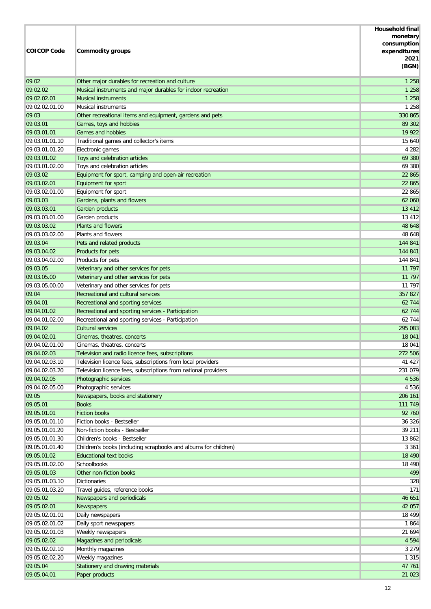|                               |                                                                 | <b>Household final</b><br>monetary |
|-------------------------------|-----------------------------------------------------------------|------------------------------------|
|                               |                                                                 | consumption                        |
| <b>COICOP Code</b>            | <b>Commodity groups</b>                                         | expenditures<br>2021               |
|                               |                                                                 | (BGN)                              |
| 09.02                         | Other major durables for recreation and culture                 | 1 2 5 8                            |
| 09.02.02                      | Musical instruments and major durables for indoor recreation    | 1 2 5 8                            |
| 09.02.02.01                   | <b>Musical instruments</b>                                      | 1 2 5 8                            |
| 09.02.02.01.00                | <b>Musical instruments</b>                                      | 1 2 5 8                            |
| 09.03                         | Other recreational items and equipment, gardens and pets        | 330 865                            |
| 09.03.01                      | Games, toys and hobbies                                         | 89 302                             |
| 09.03.01.01                   | <b>Games and hobbies</b>                                        | 19 9 22                            |
| 09.03.01.01.10                | Traditional games and collector's items                         | 15 640                             |
| 09.03.01.01.20                | Electronic games                                                | 4 2 8 2                            |
| 09.03.01.02                   | Toys and celebration articles                                   | 69 380                             |
| 09.03.01.02.00                | Toys and celebration articles                                   | 69 380                             |
| 09.03.02                      | Equipment for sport, camping and open-air recreation            | 22 865                             |
| 09.03.02.01                   | Equipment for sport                                             | 22 865                             |
| 09.03.02.01.00                | Equipment for sport                                             | 22 865                             |
| 09.03.03                      | Gardens, plants and flowers                                     | 62 060                             |
| 09.03.03.01                   | Garden products                                                 | 13 4 12                            |
| 09.03.03.01.00                | Garden products<br><b>Plants and flowers</b>                    | 13 4 12                            |
| 09.03.03.02                   |                                                                 | 48 648                             |
| 09.03.03.02.00<br>09.03.04    | Plants and flowers                                              | 48 648<br>144 841                  |
| 09.03.04.02                   | Pets and related products<br>Products for pets                  | 144 841                            |
| 09.03.04.02.00                | Products for pets                                               | 144 841                            |
| 09.03.05                      | Veterinary and other services for pets                          | 11 797                             |
| 09.03.05.00                   | Veterinary and other services for pets                          | 11 797                             |
| 09.03.05.00.00                | Veterinary and other services for pets                          | 11 797                             |
| 09.04                         | Recreational and cultural services                              | 357 827                            |
| 09.04.01                      | Recreational and sporting services                              | 62 744                             |
| 09.04.01.02                   | Recreational and sporting services - Participation              | 62 744                             |
| 09.04.01.02.00                | Recreational and sporting services - Participation              | 62 744                             |
| 09.04.02                      | <b>Cultural services</b>                                        | 295 083                            |
| 09.04.02.01                   | Cinemas, theatres, concerts                                     | 18 041                             |
| 09.04.02.01.00                | Cinemas, theatres, concerts                                     | 18 041                             |
| 09.04.02.03                   | Television and radio licence fees, subscriptions                | 272 506                            |
| 09.04.02.03.10                | Television licence fees, subscriptions from local providers     | 41 427                             |
| 09.04.02.03.20                | Television licence fees, subscriptions from national providers  | 231 079                            |
| 09.04.02.05                   | Photographic services                                           | 4 5 3 6                            |
| 09.04.02.05.00                | Photographic services                                           | 4 5 3 6                            |
| 09.05                         | Newspapers, books and stationery                                | 206 161                            |
| 09.05.01                      | <b>Books</b>                                                    | 111 749                            |
| 09.05.01.01                   | <b>Fiction books</b>                                            | 92 760                             |
| 09.05.01.01.10                | Fiction books - Bestseller                                      | 36 326                             |
| 09.05.01.01.20                | Non-fiction books - Bestseller                                  | 39 211                             |
| 09.05.01.01.30                | Children's books - Bestseller                                   | 13 862                             |
| 09.05.01.01.40                | Children's books (including scrapbooks and albums for children) | 3 3 6 1                            |
| 09.05.01.02                   | <b>Educational text books</b><br>Schoolbooks                    | 18 4 9 0                           |
| 09.05.01.02.00<br>09.05.01.03 | Other non-fiction books                                         | 18 490<br>499                      |
| 09.05.01.03.10                | <b>Dictionaries</b>                                             | 328                                |
| 09.05.01.03.20                | Travel guides, reference books                                  | 171                                |
| 09.05.02                      | Newspapers and periodicals                                      | 46 651                             |
| 09.05.02.01                   | Newspapers                                                      | 42 057                             |
| 09.05.02.01.01                | Daily newspapers                                                | 18 499                             |
| 09.05.02.01.02                | Daily sport newspapers                                          | 1864                               |
| 09.05.02.01.03                | Weekly newspapers                                               | 21 694                             |
| 09.05.02.02                   | Magazines and periodicals                                       | 4 5 9 4                            |
| 09.05.02.02.10                | Monthly magazines                                               | 3 2 7 9                            |
| 09.05.02.02.20                | Weekly magazines                                                | 1 3 1 5                            |
| 09.05.04                      | Stationery and drawing materials                                | 47 761                             |
| 09.05.04.01                   | Paper products                                                  | 21 0 23                            |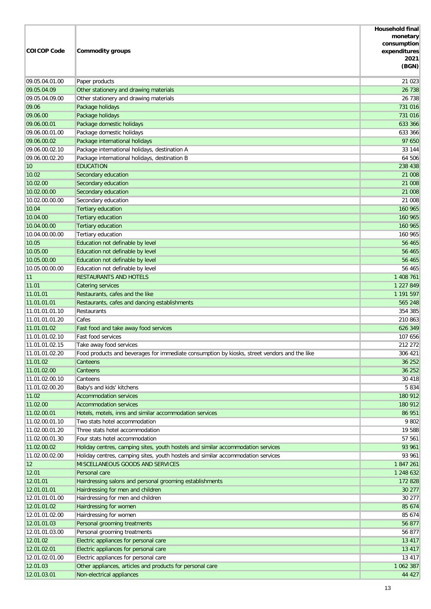| <b>COICOP Code</b>    | <b>Commodity groups</b>                                                                                              | <b>Household final</b><br>monetary<br>consumption<br>expenditures<br>2021<br>(BGN) |
|-----------------------|----------------------------------------------------------------------------------------------------------------------|------------------------------------------------------------------------------------|
| 09.05.04.01.00        | Paper products                                                                                                       | 21 0 23                                                                            |
| 09.05.04.09           | Other stationery and drawing materials                                                                               | 26 738                                                                             |
| 09.05.04.09.00        | Other stationery and drawing materials                                                                               | 26 738                                                                             |
| 09.06                 | Package holidays                                                                                                     | 731 016                                                                            |
| 09.06.00              | Package holidays                                                                                                     | 731 016                                                                            |
| 09.06.00.01           | Package domestic holidays                                                                                            | 633 366                                                                            |
| 09.06.00.01.00        | Package domestic holidays                                                                                            | 633 366                                                                            |
| 09.06.00.02           | Package international holidays                                                                                       | 97 650                                                                             |
| 09.06.00.02.10        | Package international holidays, destination A                                                                        | 33 144                                                                             |
| 09.06.00.02.20        | Package international holidays, destination B                                                                        | 64 506                                                                             |
| 10                    | <b>EDUCATION</b>                                                                                                     | 238 438                                                                            |
| 10.02                 | Secondary education                                                                                                  | 21 008                                                                             |
| 10.02.00              | Secondary education                                                                                                  | 21 008                                                                             |
| 10.02.00.00           | Secondary education                                                                                                  | 21 008                                                                             |
| 10.02.00.00.00        | Secondary education                                                                                                  | 21 008                                                                             |
| 10.04<br>10.04.00     | <b>Tertiary education</b><br><b>Tertiary education</b>                                                               | 160 965<br>160 965                                                                 |
| 10.04.00.00           | <b>Tertiary education</b>                                                                                            | 160 965                                                                            |
| 10.04.00.00.00        | Tertiary education                                                                                                   | 160 965                                                                            |
| 10.05                 | Education not definable by level                                                                                     | 56 465                                                                             |
| 10.05.00              | Education not definable by level                                                                                     | 56 465                                                                             |
| 10.05.00.00           | Education not definable by level                                                                                     | 56 465                                                                             |
| 10.05.00.00.00        | Education not definable by level                                                                                     | 56 465                                                                             |
| 11                    | <b>RESTAURANTS AND HOTELS</b>                                                                                        | 1 408 761                                                                          |
| 11.01                 | <b>Catering services</b>                                                                                             | 1 227 849                                                                          |
| 11.01.01              | Restaurants, cafes and the like                                                                                      | 1 191 597                                                                          |
| 11.01.01.01           | Restaurants, cafes and dancing establishments                                                                        | 565 248                                                                            |
| 11.01.01.01.10        | Restaurants                                                                                                          | 354 385                                                                            |
| 11.01.01.01.20        | Cafes                                                                                                                | 210 863                                                                            |
| 11.01.01.02           | Fast food and take away food services                                                                                | 626 349                                                                            |
| 11.01.01.02.10        | Fast food services                                                                                                   | 107 656                                                                            |
| 11.01.01.02.15        | Take away food services                                                                                              | 212 272                                                                            |
| 11.01.01.02.20        | Food products and beverages for immediate consumption by kiosks, street vendors and the like                         | 306 421                                                                            |
| 11.01.02              | Canteens                                                                                                             | 36 25 2                                                                            |
| 11.01.02.00           | Canteens                                                                                                             | 36 25 2                                                                            |
| 11.01.02.00.10        | Canteens                                                                                                             | 30 418                                                                             |
| 11.01.02.00.20        | Baby's and kids' kitchens                                                                                            | 5 8 3 4                                                                            |
| 11.02                 | <b>Accommodation services</b>                                                                                        | 180 912                                                                            |
| 11.02.00              | <b>Accommodation services</b>                                                                                        | 180 912                                                                            |
| 11.02.00.01           | Hotels, motels, inns and similar accommodation services                                                              | 86 951                                                                             |
| 11.02.00.01.10        | Two stats hotel accommodation                                                                                        | 9 802                                                                              |
| 11.02.00.01.20        | Three stats hotel accommodation                                                                                      | 19 588                                                                             |
| 11.02.00.01.30        | Four stats hotel accommodation                                                                                       | 57 561                                                                             |
| 11.02.00.02           | Holiday centres, camping sites, youth hostels and similar accommodation services                                     | 93 961                                                                             |
| 11.02.00.02.00        | Holiday centres, camping sites, youth hostels and similar accommodation services<br>MISCELLANEOUS GOODS AND SERVICES | 93 961<br>1847261                                                                  |
| $ 12\rangle$<br>12.01 | Personal care                                                                                                        | 1 248 632                                                                          |
| 12.01.01              | Hairdressing salons and personal grooming establishments                                                             | 172 828                                                                            |
| 12.01.01.01           | Hairdressing for men and children                                                                                    | 30 277                                                                             |
| 12.01.01.01.00        | Hairdressing for men and children                                                                                    | 30 277                                                                             |
| 12.01.01.02           | Hairdressing for women                                                                                               | 85 674                                                                             |
| 12.01.01.02.00        | Hairdressing for women                                                                                               | 85 674                                                                             |
| 12.01.01.03           | Personal grooming treatments                                                                                         | 56 877                                                                             |
| 12.01.01.03.00        | Personal grooming treatments                                                                                         | 56 877                                                                             |
| 12.01.02              | Electric appliances for personal care                                                                                | 13 417                                                                             |
| 12.01.02.01           | Electric appliances for personal care                                                                                | 13 417                                                                             |
| 12.01.02.01.00        | Electric appliances for personal care                                                                                | 13 417                                                                             |
| 12.01.03              | Other appliances, articles and products for personal care                                                            | 1 062 387                                                                          |
| 12.01.03.01           | Non-electrical appliances                                                                                            | 44 427                                                                             |